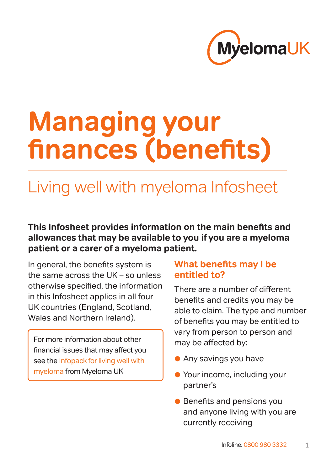

# **Managing your finances (benefits)**

# Living well with myeloma Infosheet

#### **This Infosheet provides information on the main benefits and allowances that may be available to you if you are a myeloma patient or a carer of a myeloma patient.**

In general, the benefits system is the same across the UK – so unless otherwise specified, the information in this Infosheet applies in all four UK countries (England, Scotland, Wales and Northern Ireland).

For more information about other financial issues that may affect you see the Infopack for living well with [myeloma](https://www.myeloma.org.uk/documents/infopack-for-living-well-with-myeloma/) from Myeloma UK

# **What benefits may I be entitled to?**

There are a number of different benefits and credits you may be able to claim. The type and number of benefits you may be entitled to vary from person to person and may be affected by:

- Any savings you have
- Your income, including your partner's
- Benefits and pensions you and anyone living with you are currently receiving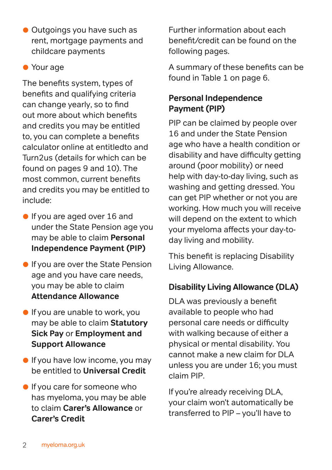• Outgoings you have such as rent, mortgage payments and childcare payments

#### • Your age

The benefits system, types of benefits and qualifying criteria can change yearly, so to find out more about which benefits and credits you may be entitled to, you can complete a benefits calculator online at entitledto and Turn2us (details for which can be found on pages 9 and 10). The most common, current benefits and credits you may be entitled to include:

- **•** If you are aged over 16 and under the State Pension age you may be able to claim **Personal Independence Payment (PIP)**
- **If you are over the State Pension** age and you have care needs, you may be able to claim **Attendance Allowance**
- **If you are unable to work, you** may be able to claim **Statutory Sick Pay** or **Employment and Support Allowance**
- **If you have low income, you may** be entitled to **Universal Credit**
- **If you care for someone who** has myeloma, you may be able to claim **Carer's Allowance** or **Carer's Credit**

Further information about each benefit/credit can be found on the following pages.

A summary of these benefits can be found in Table 1 on [page 6.](#page-5-0)

#### **Personal Independence Payment (PIP)**

PIP can be claimed by people over 16 and under the State Pension age who have a health condition or disability and have difficulty getting around (poor mobility) or need help with day-to-day living, such as washing and getting dressed. You can get PIP whether or not you are working. How much you will receive will depend on the extent to which your myeloma affects your day-today living and mobility.

This benefit is replacing Disability Living Allowance.

#### **Disability Living Allowance (DLA)**

DLA was previously a benefit available to people who had personal care needs or difficulty with walking because of either a physical or mental disability. You cannot make a new claim for DLA unless you are under 16; you must claim PIP.

If you're already receiving DLA, your claim won't automatically be transferred to PIP – you'll have to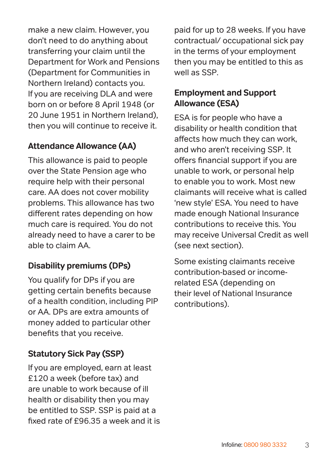make a new claim. However, you don't need to do anything about transferring your claim until the Department for Work and Pensions (Department for Communities in Northern Ireland) contacts you. If you are receiving DLA and were born on or before 8 April 1948 (or 20 June 1951 in Northern Ireland), then you will continue to receive it.

# **Attendance Allowance (AA)**

This allowance is paid to people over the State Pension age who require help with their personal care. AA does not cover mobility problems. This allowance has two different rates depending on how much care is required. You do not already need to have a carer to be able to claim AA.

#### **Disability premiums (DPs)**

You qualify for DPs if you are getting certain benefits because of a health condition, including PIP or AA. DPs are extra amounts of money added to particular other benefits that you receive.

#### **Statutory Sick Pay (SSP)**

If you are employed, earn at least £120 a week (before tax) and are unable to work because of ill health or disability then you may be entitled to SSP. SSP is paid at a fixed rate of £96.35 a week and it is

paid for up to 28 weeks. If you have contractual/ occupational sick pay in the terms of your employment then you may be entitled to this as well as SSP.

#### **Employment and Support Allowance (ESA)**

ESA is for people who have a disability or health condition that affects how much they can work, and who aren't receiving SSP. It offers financial support if you are unable to work, or personal help to enable you to work. Most new claimants will receive what is called 'new style' ESA. You need to have made enough National Insurance contributions to receive this. You may receive Universal Credit as well (see next section).

Some existing claimants receive contribution-based or incomerelated ESA (depending on their level of National Insurance contributions).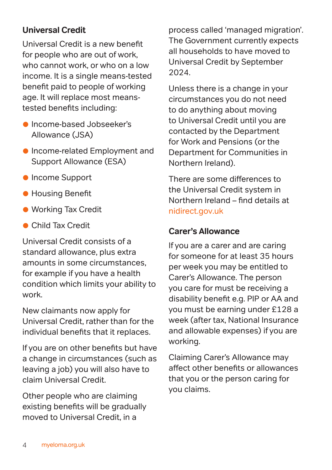### **Universal Credit**

Universal Credit is a new benefit for people who are out of work, who cannot work, or who on a low income. It is a single means-tested benefit paid to people of working age. It will replace most meanstested benefits including:

- Income-based Jobseeker's Allowance (JSA)
- Income-related Employment and Support Allowance (ESA)
- **Income Support**
- Housing Benefit
- Working Tax Credit
- Child Tax Credit

Universal Credit consists of a standard allowance, plus extra amounts in some circumstances, for example if you have a health condition which limits your ability to work.

New claimants now apply for Universal Credit, rather than for the individual benefits that it replaces.

If you are on other benefits but have a change in circumstances (such as leaving a job) you will also have to claim Universal Credit.

Other people who are claiming existing benefits will be gradually moved to Universal Credit, in a

process called 'managed migration'. The Government currently expects all households to have moved to Universal Credit by September 2024.

Unless there is a change in your circumstances you do not need to do anything about moving to Universal Credit until you are contacted by the Department for Work and Pensions (or the Department for Communities in Northern Ireland).

There are some differences to the Universal Credit system in Northern Ireland – find details at [nidirect.gov.uk](https://www.nidirect.gov.uk/campaigns/universal-credit)

#### **Carer's Allowance**

If you are a carer and are caring for someone for at least 35 hours per week you may be entitled to Carer's Allowance. The person you care for must be receiving a disability benefit e.g. PIP or AA and you must be earning under £128 a week (after tax, National Insurance and allowable expenses) if you are working.

Claiming Carer's Allowance may affect other benefits or allowances that you or the person caring for you claims.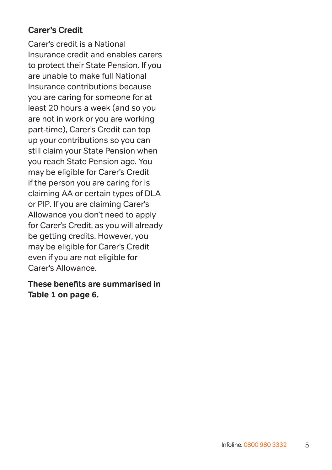# **Carer's Credit**

Carer's credit is a National Insurance credit and enables carers to protect their State Pension. If you are unable to make full National Insurance contributions because you are caring for someone for at least 20 hours a week (and so you are not in work or you are working part-time), Carer's Credit can top up your contributions so you can still claim your State Pension when you reach State Pension age. You may be eligible for Carer's Credit if the person you are caring for is claiming AA or certain types of DLA or PIP. If you are claiming Carer's Allowance you don't need to apply for Carer's Credit, as you will already be getting credits. However, you may be eligible for Carer's Credit even if you are not eligible for Carer's Allowance.

#### **These benefits are summarised in Table 1 on [page 6](#page-5-0).**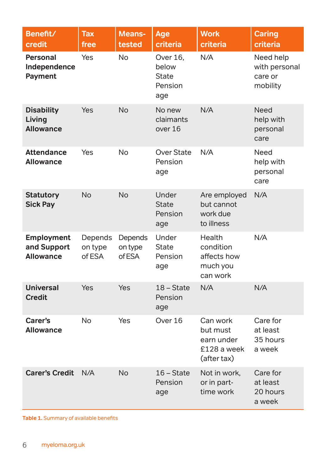<span id="page-5-0"></span>

| Benefit/<br>credit                              | Tax<br>free                  | Means-<br>tested             | Age<br>criteria                              | <b>Work</b><br>criteria                                          | <b>Caring</b><br>criteria                         |
|-------------------------------------------------|------------------------------|------------------------------|----------------------------------------------|------------------------------------------------------------------|---------------------------------------------------|
| <b>Personal</b><br>Independence<br>Payment      | Yes                          | <b>No</b>                    | Over 16,<br>below<br>State<br>Pension<br>age | N/A                                                              | Need help<br>with personal<br>care or<br>mobility |
| <b>Disability</b><br>Living<br><b>Allowance</b> | Yes                          | <b>No</b>                    | No new<br>claimants<br>over 16               | N/A                                                              | Need<br>help with<br>personal<br>care             |
| <b>Attendance</b><br><b>Allowance</b>           | Yes                          | <b>No</b>                    | <b>Over State</b><br>Pension<br>age          | N/A                                                              | Need<br>help with<br>personal<br>care             |
| <b>Statutory</b><br><b>Sick Pay</b>             | <b>No</b>                    | <b>No</b>                    | Under<br><b>State</b><br>Pension<br>age      | Are employed<br>but cannot<br>work due<br>to illness             | N/A                                               |
| Employment<br>and Support<br><b>Allowance</b>   | Depends<br>on type<br>of FSA | Depends<br>on type<br>of ESA | Under<br>State<br>Pension<br>age             | Health<br>condition<br>affects how<br>much you<br>can work       | N/A                                               |
| <b>Universal</b><br><b>Credit</b>               | Yes                          | Yes                          | 18 - State<br>Pension<br>age                 | N/A                                                              | N/A                                               |
| Carer's<br><b>Allowance</b>                     | No                           | Yes                          | Over 16                                      | Can work<br>but must<br>earn under<br>£128 a week<br>(after tax) | Care for<br>at least<br>35 hours<br>a week        |
| <b>Carer's Credit</b>                           | N/A                          | <b>No</b>                    | $16 - State$<br>Pension<br>age               | Not in work,<br>or in part-<br>time work                         | Care for<br>at least<br>20 hours<br>a week        |

**Table 1.** Summary of available benefits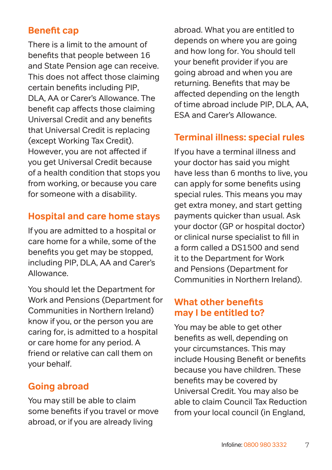# **Benefit cap**

There is a limit to the amount of benefits that people between 16 and State Pension age can receive. This does not affect those claiming certain benefits including PIP, DLA, AA or Carer's Allowance. The benefit cap affects those claiming Universal Credit and any benefits that Universal Credit is replacing (except Working Tax Credit). However, you are not affected if you get Universal Credit because of a health condition that stops you from working, or because you care for someone with a disability.

# **Hospital and care home stays**

If you are admitted to a hospital or care home for a while, some of the benefits you get may be stopped, including PIP, DLA, AA and Carer's Allowance.

You should let the Department for Work and Pensions (Department for Communities in Northern Ireland) know if you, or the person you are caring for, is admitted to a hospital or care home for any period. A friend or relative can call them on your behalf.

#### **Going abroad**

You may still be able to claim some benefits if you travel or move abroad, or if you are already living

abroad. What you are entitled to depends on where you are going and how long for. You should tell your benefit provider if you are going abroad and when you are returning. Benefits that may be affected depending on the length of time abroad include PIP, DLA, AA, ESA and Carer's Allowance.

# **Terminal illness: special rules**

If you have a terminal illness and your doctor has said you might have less than 6 months to live, you can apply for some benefits using special rules. This means you may get extra money, and start getting payments quicker than usual. Ask your doctor (GP or hospital doctor) or clinical nurse specialist to fill in a form called a DS1500 and send it to the Department for Work and Pensions (Department for Communities in Northern Ireland).

#### **What other benefits may I be entitled to?**

You may be able to get other benefits as well, depending on your circumstances. This may include Housing Benefit or benefits because you have children. These benefits may be covered by Universal Credit. You may also be able to claim Council Tax Reduction from your local council (in England,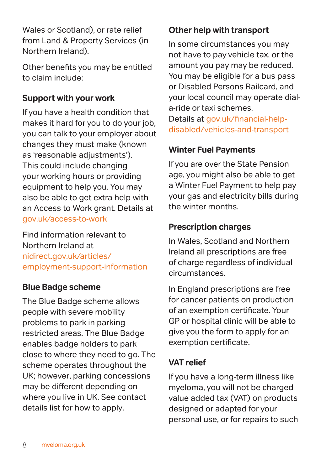Wales or Scotland), or rate relief from Land & Property Services (in Northern Ireland).

Other benefits you may be entitled to claim include:

# **Support with your work**

If you have a health condition that makes it hard for you to do your job, you can talk to your employer about changes they must make (known as 'reasonable adjustments'). This could include changing your working hours or providing equipment to help you. You may also be able to get extra help with an Access to Work grant. Details at [gov.uk/access-to-work](https://www.gov.uk/access-to-work)

Find information relevant to Northern Ireland at [nidirect.gov.uk/articles/](https://www.nidirect.gov.uk/articles/employment-support-information ) [employment-support-information](https://www.nidirect.gov.uk/articles/employment-support-information )

#### **Blue Badge scheme**

The Blue Badge scheme allows people with severe mobility problems to park in parking restricted areas. The Blue Badge enables badge holders to park close to where they need to go. The scheme operates throughout the UK; however, parking concessions may be different depending on where you live in UK. See contact details list for how to apply.

# **Other help with transport**

In some circumstances you may not have to pay vehicle tax, or the amount you pay may be reduced. You may be eligible for a bus pass or Disabled Persons Railcard, and your local council may operate diala-ride or taxi schemes. Details at [gov.uk/financial-help-](http://www.gov.uk/financial-help-disabled/vehicles-and-transport)

[disabled/vehicles-and-transport](http://www.gov.uk/financial-help-disabled/vehicles-and-transport)

# **Winter Fuel Payments**

If you are over the State Pension age, you might also be able to get a Winter Fuel Payment to help pay your gas and electricity bills during the winter months.

#### **Prescription charges**

In Wales, Scotland and Northern Ireland all prescriptions are free of charge regardless of individual circumstances.

In England prescriptions are free for cancer patients on production of an exemption certificate. Your GP or hospital clinic will be able to give you the form to apply for an exemption certificate.

# **VAT relief**

If you have a long-term illness like myeloma, you will not be charged value added tax (VAT) on products designed or adapted for your personal use, or for repairs to such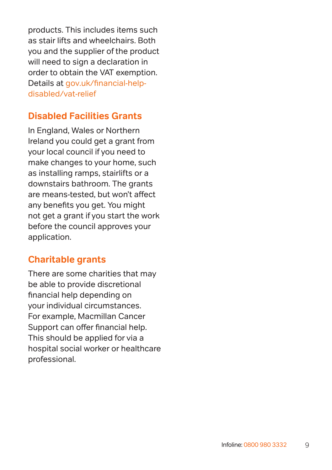products. This includes items such as stair lifts and wheelchairs. Both you and the supplier of the product will need to sign a declaration in order to obtain the VAT exemption. Details at [gov.uk/financial-help](http://www.gov.uk/financial-help-disabled/vat-relief)[disabled/vat-relief](http://www.gov.uk/financial-help-disabled/vat-relief)

# **Disabled Facilities Grants**

In England, Wales or Northern Ireland you could get a grant from your local council if you need to make changes to your home, such as installing ramps, stairlifts or a downstairs bathroom. The grants are means-tested, but won't affect any benefits you get. You might not get a grant if you start the work before the council approves your application.

# **Charitable grants**

There are some charities that may be able to provide discretional financial help depending on your individual circumstances. For example, Macmillan Cancer Support can offer financial help. This should be applied for via a hospital social worker or healthcare professional.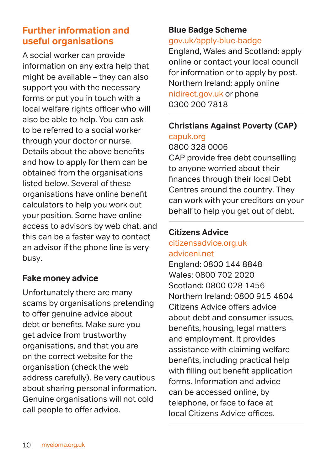# **Further information and useful organisations**

A social worker can provide information on any extra help that might be available – they can also support you with the necessary forms or put you in touch with a local welfare rights officer who will also be able to help. You can ask to be referred to a social worker through your doctor or nurse. Details about the above benefits and how to apply for them can be obtained from the organisations listed below. Several of these organisations have online benefit calculators to help you work out your position. Some have online access to advisors by web chat, and this can be a faster way to contact an advisor if the phone line is very busy.

#### **Fake money advice**

Unfortunately there are many scams by organisations pretending to offer genuine advice about debt or benefits. Make sure you get advice from trustworthy organisations, and that you are on the correct website for the organisation (check the web address carefully). Be very cautious about sharing personal information. Genuine organisations will not cold call people to offer advice.

#### **Blue Badge Scheme** [gov.uk/apply-blue-badge](http://gov.uk/apply-blue-badge)

England, Wales and Scotland: apply online or contact your local council for information or to apply by post. Northern Ireland: apply online [nidirect.gov.uk o](http://nidirect.gov.uk/services/apply-or-renew-blue-badge)r phone [0300 200 7818](http://03002007818)

#### **Christians Against Poverty (CAP)**

[capuk.org](http://capuk.org)

0800 328 0006 CAP provide free debt counselling to anyone worried about their finances through their local Debt Centres around the country. They can work with your creditors on your behalf to help you get out of debt.

#### **Citizens Advice**

#### [citizensadvice.org.uk](http://www.citizensadvice.org.uk) [adviceni.net](http://www.adviceni.net)

England: 0800 144 8848 Wales: 0800 702 2020 Scotland: 0800 028 1456 Northern Ireland: 0800 915 4604 Citizens Advice offers advice about debt and consumer issues, benefits, housing, legal matters and employment. It provides assistance with claiming welfare benefits, including practical help with filling out benefit application forms. Information and advice can be accessed online, by telephone, or face to face at local Citizens Advice offices.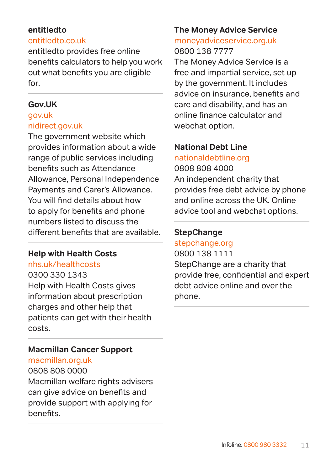#### **entitledto**

#### [entitledto.co.uk](http://www.entitledto.co.uk)

entitledto provides free online benefits calculators to help you work out what benefits you are eligible for.

#### **Gov.UK**

#### [gov.uk](http://www.gov.uk) [nidirect.gov.uk](https://www.nidirect.gov.uk/)

The government website which provides information about a wide range of public services including benefits such as Attendance Allowance, Personal Independence Payments and Carer's Allowance. You will find details about how to apply for benefits and phone numbers listed to discuss the different benefits that are available.

#### **Help with Health Costs**

[nhs.uk/healthcosts](https://www.nhs.uk/nhs-services/help-with-health-costs/)

[0300 330 1343](tel:03003301343) Help with Health Costs gives information about prescription charges and other help that patients can get with their health costs.

#### **Macmillan Cancer Support**

[macmillan.org.uk](http://www.macmillan.org.uk)

#### [0808 808 0000](tel:08088080000)

Macmillan welfare rights advisers can give advice on benefits and provide support with applying for benefits.

#### **The Money Advice Service**

#### [moneyadviceservice.org.uk](http://www.moneyadviceservice.org.uk) [0800 138 7777](tel:08001387777)

The Money Advice Service is a free and impartial service, set up by the government. It includes advice on insurance, benefits and care and disability, and has an online finance calculator and webchat option.

#### **National Debt Line** [nationaldebtline.org](http://www.nationaldebtline.org)

[0808 808 4000](tel:08088084000) An independent charity that provides free debt advice by phone and online across the UK. Online advice tool and webchat options.

# **StepChange**

# [stepchange.org](http://stepchange.org)

0800 138 1111 StepChange are a charity that provide free, confidential and expert debt advice online and over the phone.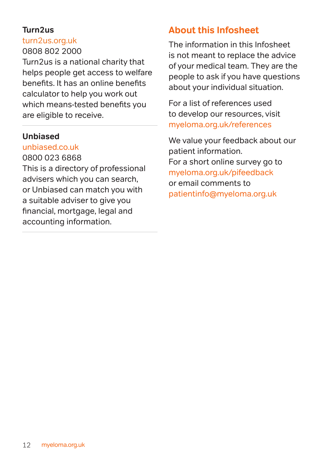#### **Turn2us**

#### [turn2us.org.uk](http://www.turn2us.org.uk)

#### 0808 802 2000

Turn2us is a national charity that helps people get access to welfare benefits. It has an online benefits calculator to help you work out which means-tested benefits you are eligible to receive.

#### **Unbiased**

#### [unbiased.co.uk](http://www.unbiased.co.uk)

[0800 023 6868](tel:08000236868) 

This is a directory of professional advisers which you can search, or Unbiased can match you with a suitable adviser to give you financial, mortgage, legal and accounting information.

# **About this Infosheet**

The information in this Infosheet is not meant to replace the advice of your medical team. They are the people to ask if you have questions about your individual situation.

For a list of references used to develop our resources, visit [myeloma.org.uk/references](https://myeloma.org.uk/references)

We value your feedback about our patient information. For a short online survey go to [myeloma.org.uk/pifeedback](http://myeloma.org.uk/pifeedback) or email comments to patientinfo@myeloma.org.uk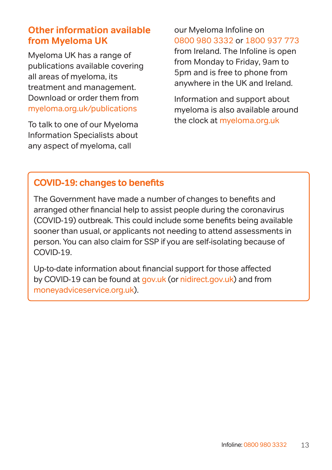# **Other information available from Myeloma UK**

Myeloma UK has a range of publications available covering all areas of myeloma, its treatment and management. Download or order them from [myeloma.org.uk/publications](https://myeloma.org.uk/publications)

To talk to one of our Myeloma Information Specialists about any aspect of myeloma, call

# our Myeloma Infoline on [0800 980 3332](tel:0800-980-3332) or [1800 937 773](tel:1800-937-773)

from Ireland. The Infoline is open from Monday to Friday, 9am to 5pm and is free to phone from anywhere in the UK and Ireland.

Information and support about myeloma is also available around the clock at [myeloma.org.uk](http://myeloma.org.uk)

# **COVID-19: changes to benefits**

The Government have made a number of changes to benefits and arranged other financial help to assist people during the coronavirus (COVID-19) outbreak. This could include some benefits being available sooner than usual, or applicants not needing to attend assessments in person. You can also claim for SSP if you are self-isolating because of COVID-19.

Up-to-date information about financial support for those affected by COVID-19 can be found at [gov.uk](https://www.gov.uk) (or [nidirect.gov.uk](https://www.nidirect.gov.uk/articles/coronavirus-covid-19-and-benefits)) and from [moneyadviceservice.org.uk](https://www.moneyadviceservice.org.uk/en/articles/coronavirus-what-it-means-for-you#benefit-changes-because-of-coronavirus)).